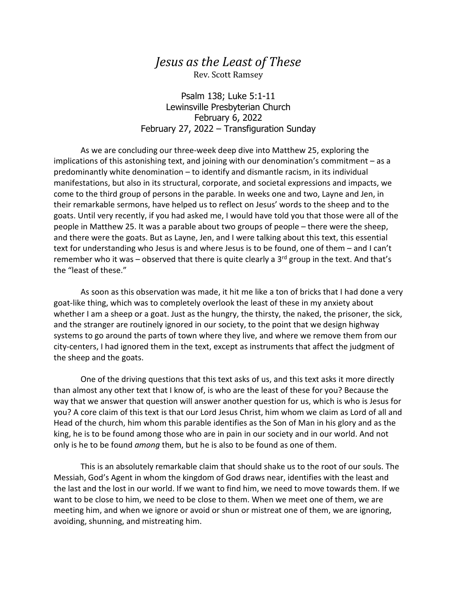## *Jesus as the Least of These* Rev. Scott Ramsey

Psalm 138; Luke 5:1-11 Lewinsville Presbyterian Church February 6, 2022 February 27, 2022 – Transfiguration Sunday

As we are concluding our three-week deep dive into Matthew 25, exploring the implications of this astonishing text, and joining with our denomination's commitment – as a predominantly white denomination – to identify and dismantle racism, in its individual manifestations, but also in its structural, corporate, and societal expressions and impacts, we come to the third group of persons in the parable. In weeks one and two, Layne and Jen, in their remarkable sermons, have helped us to reflect on Jesus' words to the sheep and to the goats. Until very recently, if you had asked me, I would have told you that those were all of the people in Matthew 25. It was a parable about two groups of people – there were the sheep, and there were the goats. But as Layne, Jen, and I were talking about this text, this essential text for understanding who Jesus is and where Jesus is to be found, one of them – and I can't remember who it was – observed that there is quite clearly a  $3^{rd}$  group in the text. And that's the "least of these."

As soon as this observation was made, it hit me like a ton of bricks that I had done a very goat-like thing, which was to completely overlook the least of these in my anxiety about whether I am a sheep or a goat. Just as the hungry, the thirsty, the naked, the prisoner, the sick, and the stranger are routinely ignored in our society, to the point that we design highway systems to go around the parts of town where they live, and where we remove them from our city-centers, I had ignored them in the text, except as instruments that affect the judgment of the sheep and the goats.

One of the driving questions that this text asks of us, and this text asks it more directly than almost any other text that I know of, is who are the least of these for you? Because the way that we answer that question will answer another question for us, which is who is Jesus for you? A core claim of this text is that our Lord Jesus Christ, him whom we claim as Lord of all and Head of the church, him whom this parable identifies as the Son of Man in his glory and as the king, he is to be found among those who are in pain in our society and in our world. And not only is he to be found *among* them, but he is also to be found as one of them.

This is an absolutely remarkable claim that should shake us to the root of our souls. The Messiah, God's Agent in whom the kingdom of God draws near, identifies with the least and the last and the lost in our world. If we want to find him, we need to move towards them. If we want to be close to him, we need to be close to them. When we meet one of them, we are meeting him, and when we ignore or avoid or shun or mistreat one of them, we are ignoring, avoiding, shunning, and mistreating him.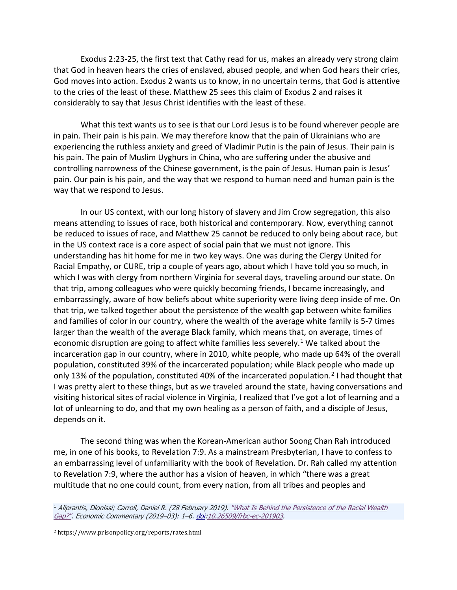Exodus 2:23-25, the first text that Cathy read for us, makes an already very strong claim that God in heaven hears the cries of enslaved, abused people, and when God hears their cries, God moves into action. Exodus 2 wants us to know, in no uncertain terms, that God is attentive to the cries of the least of these. Matthew 25 sees this claim of Exodus 2 and raises it considerably to say that Jesus Christ identifies with the least of these.

What this text wants us to see is that our Lord Jesus is to be found wherever people are in pain. Their pain is his pain. We may therefore know that the pain of Ukrainians who are experiencing the ruthless anxiety and greed of Vladimir Putin is the pain of Jesus. Their pain is his pain. The pain of Muslim Uyghurs in China, who are suffering under the abusive and controlling narrowness of the Chinese government, is the pain of Jesus. Human pain is Jesus' pain. Our pain is his pain, and the way that we respond to human need and human pain is the way that we respond to Jesus.

In our US context, with our long history of slavery and Jim Crow segregation, this also means attending to issues of race, both historical and contemporary. Now, everything cannot be reduced to issues of race, and Matthew 25 cannot be reduced to only being about race, but in the US context race is a core aspect of social pain that we must not ignore. This understanding has hit home for me in two key ways. One was during the Clergy United for Racial Empathy, or CURE, trip a couple of years ago, about which I have told you so much, in which I was with clergy from northern Virginia for several days, traveling around our state. On that trip, among colleagues who were quickly becoming friends, I became increasingly, and embarrassingly, aware of how beliefs about white superiority were living deep inside of me. On that trip, we talked together about the persistence of the wealth gap between white families and families of color in our country, where the wealth of the average white family is 5-7 times larger than the wealth of the average Black family, which means that, on average, times of economic disruption are going to affect white families less severely.<sup>1</sup> We talked about the incarceration gap in our country, where in 2010, white people, who made up 64% of the overall population, constituted 39% of the incarcerated population; while Black people who made up only 13% of the population, constituted 40% of the incarcerated population.<sup>[2](#page-1-1)</sup> I had thought that I was pretty alert to these things, but as we traveled around the state, having conversations and visiting historical sites of racial violence in Virginia, I realized that I've got a lot of learning and a lot of unlearning to do, and that my own healing as a person of faith, and a disciple of Jesus, depends on it.

The second thing was when the Korean-American author Soong Chan Rah introduced me, in one of his books, to Revelation 7:9. As a mainstream Presbyterian, I have to confess to an embarrassing level of unfamiliarity with the book of Revelation. Dr. Rah called my attention to Revelation 7:9, where the author has a vision of heaven, in which "there was a great multitude that no one could count, from every nation, from all tribes and peoples and

<span id="page-1-1"></span><span id="page-1-0"></span><sup>&</sup>lt;sup>1</sup> Aliprantis, Dionissi; Carroll, Daniel R. (28 February 2019). "What Is Behind the Persistence of the Racial Wealth [Gap?".](https://www.clevelandfed.org/newsroom-and-events/publications/economic-commentary/2019-economic-commentaries/ec-201903-what-is-behind-the-persistence-of-the-racial-wealth-gap) Economic Commentary (2019-03): 1-6. [doi](https://en.wikipedia.org/wiki/Doi_(identifier))[:10.26509/frbc-ec-201903.](https://doi.org/10.26509%2Ffrbc-ec-201903)